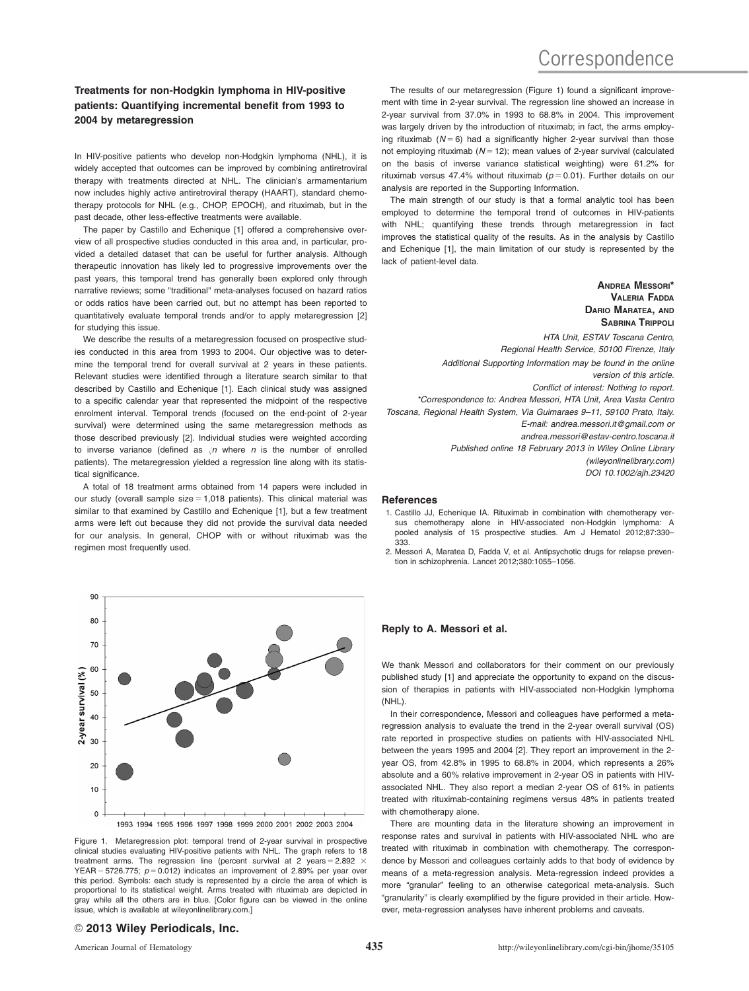# **Correspondence**

# Treatments for non-Hodgkin lymphoma in HIV-positive patients: Quantifying incremental benefit from 1993 to 2004 by metaregression

In HIV-positive patients who develop non-Hodgkin lymphoma (NHL), it is widely accepted that outcomes can be improved by combining antiretroviral therapy with treatments directed at NHL. The clinician's armamentarium now includes highly active antiretroviral therapy (HAART), standard chemotherapy protocols for NHL (e.g., CHOP, EPOCH), and rituximab, but in the past decade, other less-effective treatments were available.

The paper by Castillo and Echenique [1] offered a comprehensive overview of all prospective studies conducted in this area and, in particular, provided a detailed dataset that can be useful for further analysis. Although therapeutic innovation has likely led to progressive improvements over the past years, this temporal trend has generally been explored only through narrative reviews; some "traditional" meta-analyses focused on hazard ratios or odds ratios have been carried out, but no attempt has been reported to quantitatively evaluate temporal trends and/or to apply metaregression [2] for studying this issue.

We describe the results of a metaregression focused on prospective studies conducted in this area from 1993 to 2004. Our objective was to determine the temporal trend for overall survival at 2 years in these patients. Relevant studies were identified through a literature search similar to that described by Castillo and Echenique [1]. Each clinical study was assigned to a specific calendar year that represented the midpoint of the respective enrolment interval. Temporal trends (focused on the end-point of 2-year survival) were determined using the same metaregression methods as those described previously [2]. Individual studies were weighted according to inverse variance (defined as  $\sqrt{n}$  where n is the number of enrolled patients). The metaregression yielded a regression line along with its statistical significance.

A total of 18 treatment arms obtained from 14 papers were included in our study (overall sample size  $= 1,018$  patients). This clinical material was similar to that examined by Castillo and Echenique [1], but a few treatment arms were left out because they did not provide the survival data needed for our analysis. In general, CHOP with or without rituximab was the regimen most frequently used.



Figure 1. Metaregression plot: temporal trend of 2-year survival in prospective clinical studies evaluating HIV-positive patients with NHL. The graph refers to 18 treatment arms. The regression line (percent survival at 2 years =  $2.892 \times$ YEAR  $-$  5726.775;  $p = 0.012$ ) indicates an improvement of 2.89% per year over this period. Symbols: each study is represented by a circle the area of which is proportional to its statistical weight. Arms treated with rituximab are depicted in gray while all the others are in blue. [Color figure can be viewed in the online issue, which is available at [wileyonlinelibrary.com.](wileyonlinelibrary.com)]

The results of our metaregression (Figure 1) found a significant improvement with time in 2-year survival. The regression line showed an increase in 2-year survival from 37.0% in 1993 to 68.8% in 2004. This improvement was largely driven by the introduction of rituximab; in fact, the arms employing rituximab ( $N = 6$ ) had a significantly higher 2-year survival than those not employing rituximab ( $N = 12$ ); mean values of 2-year survival (calculated on the basis of inverse variance statistical weighting) were 61.2% for rituximab versus 47.4% without rituximab ( $p = 0.01$ ). Further details on our analysis are reported in the Supporting Information.

The main strength of our study is that a formal analytic tool has been employed to determine the temporal trend of outcomes in HIV-patients with NHL; quantifying these trends through metaregression in fact improves the statistical quality of the results. As in the analysis by Castillo and Echenique [1], the main limitation of our study is represented by the lack of patient-level data.

VALERIA FADDA DARIO MARATEA, AND SABRINA TRIPPOLI HTA Unit, ESTAV Toscana Centro, Regional Health Service, 50100 Firenze, Italy Additional Supporting Information may be found in the online version of this article. Conflict of interest: Nothing to report. \*Correspondence to: Andrea Messori, HTA Unit, Area Vasta Centro Toscana, Regional Health System, Via Guimaraes 9–11, 59100 Prato, Italy. E-mail: andrea.messori.it@gmail.com or andrea.messori@estav-centro.toscana.it Published online 18 February 2013 in Wiley Online Library (wileyonlinelibrary.com)

DOI 10.1002/ajh.23420

ANDREA MESSORI\*

#### References

- 1. Castillo JJ, Echenique IA. Rituximab in combination with chemotherapy versus chemotherapy alone in HIV-associated non-Hodgkin lymphoma: A pooled analysis of 15 prospective studies. Am J Hematol 2012;87:330– 333.
- 2. Messori A, Maratea D, Fadda V, et al. Antipsychotic drugs for relapse prevention in schizophrenia. Lancet 2012;380:1055–1056.

# Reply to A. Messori et al.

We thank Messori and collaborators for their comment on our previously published study [1] and appreciate the opportunity to expand on the discussion of therapies in patients with HIV-associated non-Hodgkin lymphoma (NHL).

In their correspondence, Messori and colleagues have performed a metaregression analysis to evaluate the trend in the 2-year overall survival (OS) rate reported in prospective studies on patients with HIV-associated NHL between the years 1995 and 2004 [2]. They report an improvement in the 2 year OS, from 42.8% in 1995 to 68.8% in 2004, which represents a 26% absolute and a 60% relative improvement in 2-year OS in patients with HIVassociated NHL. They also report a median 2-year OS of 61% in patients treated with rituximab-containing regimens versus 48% in patients treated with chemotherapy alone.

There are mounting data in the literature showing an improvement in response rates and survival in patients with HIV-associated NHL who are treated with rituximab in combination with chemotherapy. The correspondence by Messori and colleagues certainly adds to that body of evidence by means of a meta-regression analysis. Meta-regression indeed provides a more "granular" feeling to an otherwise categorical meta-analysis. Such "granularity" is clearly exemplified by the figure provided in their article. However, meta-regression analyses have inherent problems and caveats.

## © 2013 Wiley Periodicals, Inc.